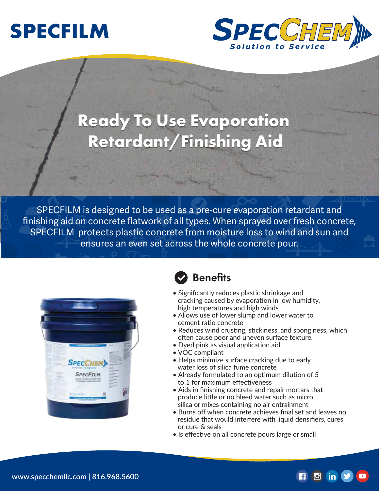



# **Ready To Use Evaporation Ready To Use Evaporation Retardant/Finishing Aid Retardant/Finishing Aid**

SPECFILM is designed to be used as a pre-cure evaporation retardant and finishing aid on concrete flatwork of all types. When sprayed over fresh concrete, SPECFILM protects plastic concrete from moisture loss to wind and sun and ensures an even set across the whole concrete pour.



#### **Benefits**

- Significantly reduces plastic shrinkage and cracking caused by evaporation in low humidity, high temperatures and high winds
- Allows use of lower slump and lower water to cement ratio concrete
- Reduces wind crusting, stickiness, and sponginess, which often cause poor and uneven surface texture.
- Dyed pink as visual application aid.
- VOC compliant
- Helps minimize surface cracking due to early water loss of silica fume concrete
- Already formulated to an optimum dilution of 5 to 1 for maximum effectiveness
- Aids in finishing concrete and repair mortars that produce little or no bleed water such as micro silica or mixes containing no air entrainment
- Burns off when concrete achieves final set and leaves no residue that would interfere with liquid densifiers, cures or cure & seals

 $\Box$  (in

• Is effective on all concrete pours large or small